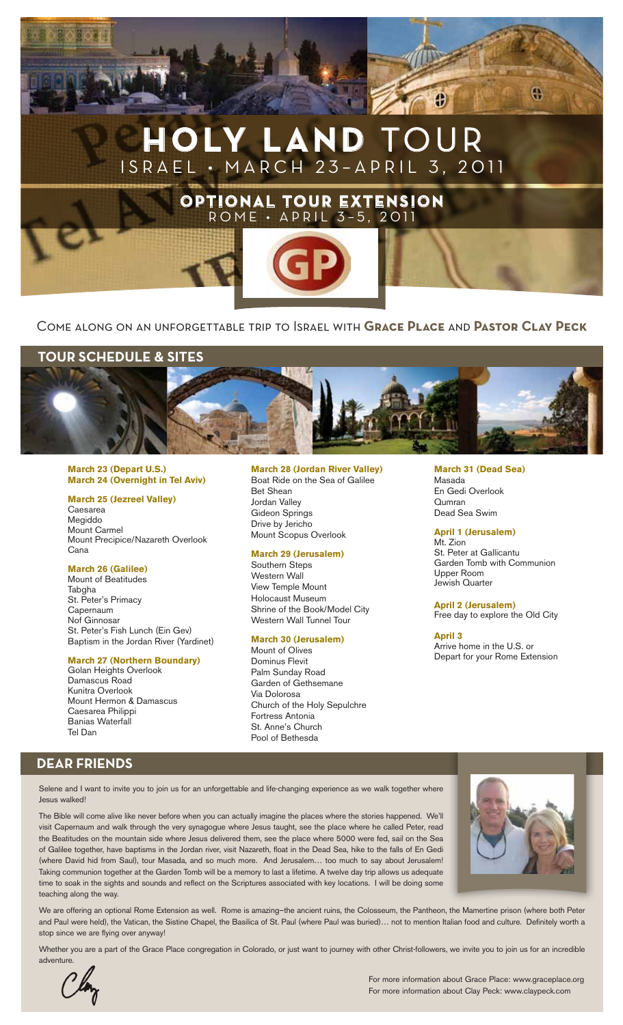

## Come along on an unforgettable trip to Israel with **Grace Place** and **Pastor Clay Peck**

## **Tour Schedule & Sites**



#### **March 23 (Depart U.S.) March 24 (Overnight in Tel Aviv)**

## **March 25 (Jezreel Valley)**

Caesarea Megiddo Mount Carmel Mount Precipice/Nazareth Overlook Cana

#### **March 26 (Galilee)**

Mount of Beatitudes Tabgha St. Peter's Primacy Capernaum Nof Ginnosar St. Peter's Fish Lunch (Ein Gev) Baptism in the Jordan River (Yardinet)

### **March 27 (Northern Boundary)**

Golan Heights Overlook Damascus Road Kunitra Overlook Mount Hermon & Damascus Caesarea Philippi Banias Waterfall Tel Dan

#### **March 28 (Jordan River Valley)** Boat Ride on the Sea of Galilee

Bet Shean Jordan Valley Gideon Springs Drive by Jericho Mount Scopus Overlook

### **March 29 (Jerusalem)**

Southern Steps Western Wall View Temple Mount Holocaust Museum Shrine of the Book/Model City Western Wall Tunnel Tour

#### **March 30 (Jerusalem)**

Mount of Olives Dominus Flevit Palm Sunday Road Garden of Gethsemane Via Dolorosa Church of the Holy Sepulchre Fortress Antonia St. Anne's Church Pool of Bethesda

## **March 31 (Dead Sea)**

Masada En Gedi Overlook Qumran Dead Sea Swim

**April 1 (Jerusalem)** Mt. Zion St. Peter at Gallicantu Garden Tomb with Communion Upper Room Jewish Quarter

**April 2 (Jerusalem)** Free day to explore the Old City

**April 3**  Arrive home in the U.S. or Depart for your Rome Extension

# **DEAR FRIENDS**

Selene and I want to invite you to join us for an unforgettable and life-changing experience as we walk together where Jesus walked!

The Bible will come alive like never before when you can actually imagine the places where the stories happened. We'll visit Capernaum and walk through the very synagogue where Jesus taught, see the place where he called Peter, read the Beatitudes on the mountain side where Jesus delivered them, see the place where 5000 were fed, sail on the Sea of Galilee together, have baptisms in the Jordan river, visit Nazareth, float in the Dead Sea, hike to the falls of En Gedi (where David hid from Saul), tour Masada, and so much more. And Jerusalem… too much to say about Jerusalem! Taking communion together at the Garden Tomb will be a memory to last a lifetime. A twelve day trip allows us adequate time to soak in the sights and sounds and reflect on the Scriptures associated with key locations. I will be doing some teaching along the way.



We are offering an optional Rome Extension as well. Rome is amazing–the ancient ruins, the Colosseum, the Pantheon, the Mamertine prison (where both Peter and Paul were held), the Vatican, the Sistine Chapel, the Basilica of St. Paul (where Paul was buried)… not to mention Italian food and culture. Definitely worth a stop since we are flying over anyway!

Whether you are a part of the Grace Place congregation in Colorado, or just want to journey with other Christ-followers, we invite you to join us for an incredible



 For more information about Grace Place: www.graceplace.org For more information about Clay Peck: www.claypeck.com